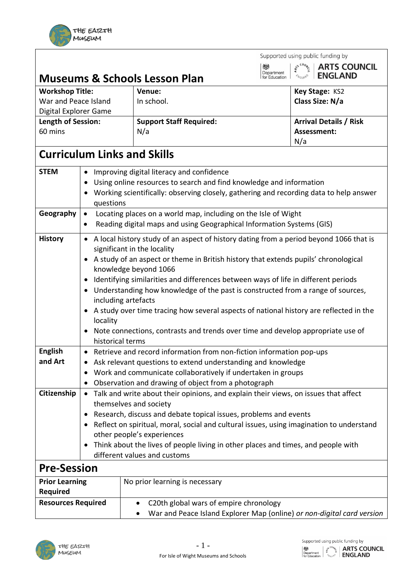

|                                                                     |                                    |                                                                             | Supported using public funding by                                                        |  |
|---------------------------------------------------------------------|------------------------------------|-----------------------------------------------------------------------------|------------------------------------------------------------------------------------------|--|
|                                                                     |                                    |                                                                             | $\tilde{\zeta}^{\text{S}}$ counts<br><b>ARTS COUNCIL</b><br>戀<br>Department              |  |
|                                                                     |                                    | <b>Museums &amp; Schools Lesson Plan</b>                                    | <b>ENGLAND</b><br><b>ENGLAND</b><br>for Education                                        |  |
| <b>Workshop Title:</b>                                              |                                    | Venue:                                                                      | Key Stage: KS2                                                                           |  |
| War and Peace Island                                                |                                    | In school.                                                                  | Class Size: N/a                                                                          |  |
| Digital Explorer Game                                               |                                    |                                                                             |                                                                                          |  |
| Length of Session:                                                  |                                    | <b>Support Staff Required:</b>                                              | <b>Arrival Details / Risk</b>                                                            |  |
| 60 mins                                                             |                                    | N/a                                                                         | Assessment:                                                                              |  |
|                                                                     | <b>Curriculum Links and Skills</b> |                                                                             | N/a                                                                                      |  |
| <b>STEM</b>                                                         | $\bullet$                          | Improving digital literacy and confidence                                   |                                                                                          |  |
|                                                                     | $\bullet$                          | Using online resources to search and find knowledge and information         |                                                                                          |  |
|                                                                     |                                    |                                                                             | Working scientifically: observing closely, gathering and recording data to help answer   |  |
|                                                                     | questions                          |                                                                             |                                                                                          |  |
| Geography                                                           | $\bullet$                          | Locating places on a world map, including on the Isle of Wight              |                                                                                          |  |
|                                                                     |                                    | Reading digital maps and using Geographical Information Systems (GIS)       |                                                                                          |  |
| <b>History</b>                                                      | $\bullet$                          |                                                                             | A local history study of an aspect of history dating from a period beyond 1066 that is   |  |
|                                                                     |                                    | significant in the locality                                                 |                                                                                          |  |
|                                                                     | $\bullet$                          |                                                                             | A study of an aspect or theme in British history that extends pupils' chronological      |  |
|                                                                     |                                    | knowledge beyond 1066                                                       |                                                                                          |  |
|                                                                     | $\bullet$                          |                                                                             | Identifying similarities and differences between ways of life in different periods       |  |
|                                                                     | $\bullet$<br>including artefacts   |                                                                             | Understanding how knowledge of the past is constructed from a range of sources,          |  |
|                                                                     |                                    |                                                                             | • A study over time tracing how several aspects of national history are reflected in the |  |
|                                                                     | locality                           |                                                                             |                                                                                          |  |
|                                                                     |                                    |                                                                             | Note connections, contrasts and trends over time and develop appropriate use of          |  |
|                                                                     | historical terms                   |                                                                             |                                                                                          |  |
| <b>English</b>                                                      |                                    | • Retrieve and record information from non-fiction information pop-ups      |                                                                                          |  |
| and Art                                                             |                                    | Ask relevant questions to extend understanding and knowledge                |                                                                                          |  |
|                                                                     |                                    | Work and communicate collaboratively if undertaken in groups                |                                                                                          |  |
|                                                                     | $\bullet$                          | Observation and drawing of object from a photograph                         |                                                                                          |  |
| Citizenship                                                         |                                    |                                                                             | • Talk and write about their opinions, and explain their views, on issues that affect    |  |
|                                                                     |                                    | themselves and society                                                      |                                                                                          |  |
|                                                                     |                                    | Research, discuss and debate topical issues, problems and events            | Reflect on spiritual, moral, social and cultural issues, using imagination to understand |  |
|                                                                     |                                    | other people's experiences                                                  |                                                                                          |  |
|                                                                     | $\bullet$                          |                                                                             | Think about the lives of people living in other places and times, and people with        |  |
|                                                                     |                                    | different values and customs                                                |                                                                                          |  |
| <b>Pre-Session</b>                                                  |                                    |                                                                             |                                                                                          |  |
| <b>Prior Learning</b>                                               |                                    | No prior learning is necessary                                              |                                                                                          |  |
| Required                                                            |                                    |                                                                             |                                                                                          |  |
| <b>Resources Required</b><br>C20th global wars of empire chronology |                                    |                                                                             |                                                                                          |  |
|                                                                     |                                    | War and Peace Island Explorer Map (online) or non-digital card version<br>٠ |                                                                                          |  |



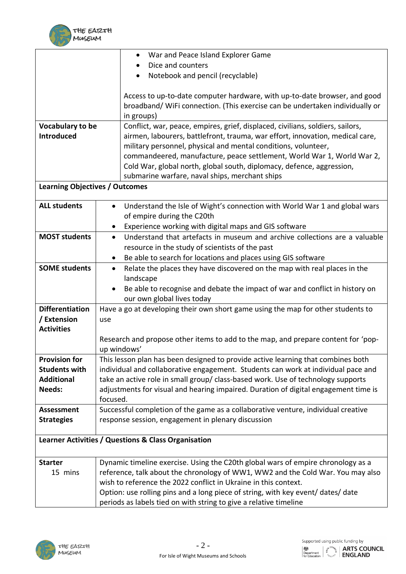

|                                                     | War and Peace Island Explorer Game                                                        |  |  |  |
|-----------------------------------------------------|-------------------------------------------------------------------------------------------|--|--|--|
|                                                     | Dice and counters                                                                         |  |  |  |
|                                                     | Notebook and pencil (recyclable)                                                          |  |  |  |
|                                                     |                                                                                           |  |  |  |
|                                                     | Access to up-to-date computer hardware, with up-to-date browser, and good                 |  |  |  |
|                                                     | broadband/ WiFi connection. (This exercise can be undertaken individually or              |  |  |  |
|                                                     | in groups)                                                                                |  |  |  |
| Vocabulary to be                                    | Conflict, war, peace, empires, grief, displaced, civilians, soldiers, sailors,            |  |  |  |
| <b>Introduced</b>                                   | airmen, labourers, battlefront, trauma, war effort, innovation, medical care,             |  |  |  |
|                                                     | military personnel, physical and mental conditions, volunteer,                            |  |  |  |
|                                                     | commandeered, manufacture, peace settlement, World War 1, World War 2,                    |  |  |  |
|                                                     | Cold War, global north, global south, diplomacy, defence, aggression,                     |  |  |  |
|                                                     | submarine warfare, naval ships, merchant ships                                            |  |  |  |
| <b>Learning Objectives / Outcomes</b>               |                                                                                           |  |  |  |
| <b>ALL students</b>                                 | Understand the Isle of Wight's connection with World War 1 and global wars<br>$\bullet$   |  |  |  |
|                                                     | of empire during the C20th                                                                |  |  |  |
|                                                     | Experience working with digital maps and GIS software<br>$\bullet$                        |  |  |  |
| <b>MOST students</b>                                | Understand that artefacts in museum and archive collections are a valuable<br>$\bullet$   |  |  |  |
|                                                     | resource in the study of scientists of the past                                           |  |  |  |
|                                                     | Be able to search for locations and places using GIS software<br>$\bullet$                |  |  |  |
| <b>SOME students</b>                                | Relate the places they have discovered on the map with real places in the<br>$\bullet$    |  |  |  |
|                                                     | landscape                                                                                 |  |  |  |
|                                                     | Be able to recognise and debate the impact of war and conflict in history on<br>$\bullet$ |  |  |  |
| <b>Differentiation</b>                              | our own global lives today                                                                |  |  |  |
| / Extension                                         | Have a go at developing their own short game using the map for other students to          |  |  |  |
| <b>Activities</b>                                   | use                                                                                       |  |  |  |
|                                                     | Research and propose other items to add to the map, and prepare content for 'pop-         |  |  |  |
|                                                     | up windows'                                                                               |  |  |  |
| <b>Provision for</b>                                | This lesson plan has been designed to provide active learning that combines both          |  |  |  |
| <b>Students with</b>                                | individual and collaborative engagement. Students can work at individual pace and         |  |  |  |
| <b>Additional</b>                                   | take an active role in small group/ class-based work. Use of technology supports          |  |  |  |
| Needs:                                              | adjustments for visual and hearing impaired. Duration of digital engagement time is       |  |  |  |
|                                                     | focused.                                                                                  |  |  |  |
| <b>Assessment</b>                                   | Successful completion of the game as a collaborative venture, individual creative         |  |  |  |
| <b>Strategies</b>                                   | response session, engagement in plenary discussion                                        |  |  |  |
|                                                     |                                                                                           |  |  |  |
| Learner Activities / Questions & Class Organisation |                                                                                           |  |  |  |
| <b>Starter</b>                                      | Dynamic timeline exercise. Using the C20th global wars of empire chronology as a          |  |  |  |
| 15 mins                                             | reference, talk about the chronology of WW1, WW2 and the Cold War. You may also           |  |  |  |
|                                                     | wish to reference the 2022 conflict in Ukraine in this context.                           |  |  |  |
|                                                     | Option: use rolling pins and a long piece of string, with key event/ dates/ date          |  |  |  |
|                                                     | periods as labels tied on with string to give a relative timeline                         |  |  |  |